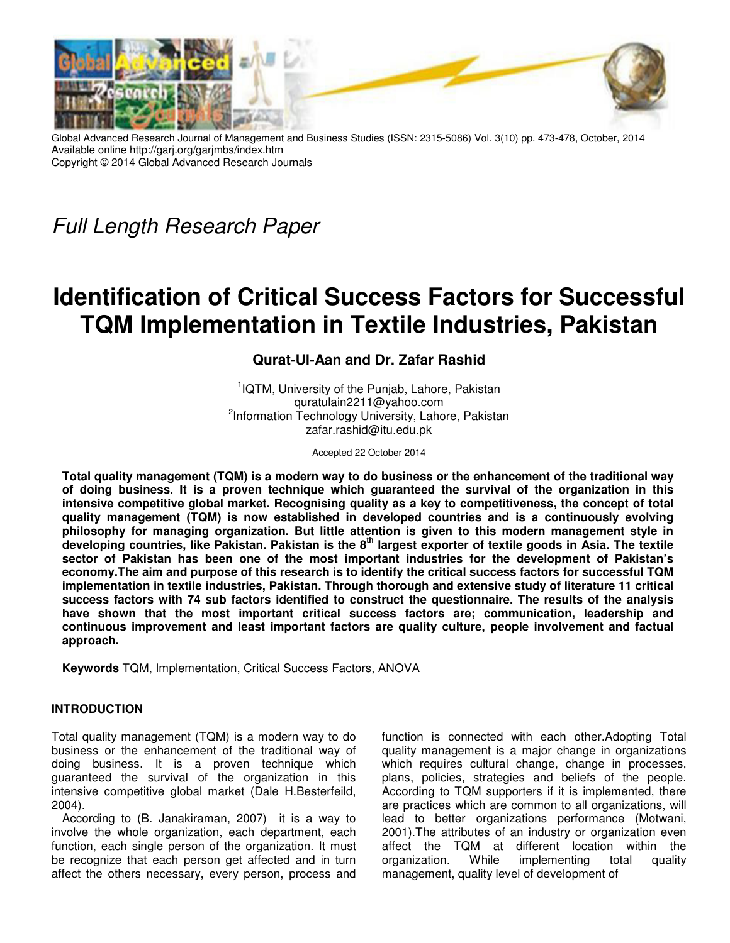

Global Advanced Research Journal of Management and Business Studies (ISSN: 2315-5086) Vol. 3(10) pp. 473-478, October, 2014 Available online http://garj.org/garjmbs/index.htm Copyright © 2014 Global Advanced Research Journals

*Full Length Research Paper*

# **Identification of Critical Success Factors for Successful TQM Implementation in Textile Industries, Pakistan**

# **Qurat-Ul-Aan and Dr. Zafar Rashid**

<sup>1</sup>IQTM, University of the Punjab, Lahore, Pakistan quratulain2211@yahoo.com <sup>2</sup>Information Technology University, Lahore, Pakistan zafar.rashid@itu.edu.pk

Accepted 22 October 2014

**Total quality management (TQM) is a modern way to do business or the enhancement of the traditional way of doing business. It is a proven technique which guaranteed the survival of the organization in this intensive competitive global market. Recognising quality as a key to competitiveness, the concept of total quality management (TQM) is now established in developed countries and is a continuously evolving philosophy for managing organization. But little attention is given to this modern management style in developing countries, like Pakistan. Pakistan is the 8th largest exporter of textile goods in Asia. The textile sector of Pakistan has been one of the most important industries for the development of Pakistan's economy.The aim and purpose of this research is to identify the critical success factors for successful TQM implementation in textile industries, Pakistan. Through thorough and extensive study of literature 11 critical success factors with 74 sub factors identified to construct the questionnaire. The results of the analysis have shown that the most important critical success factors are; communication, leadership and continuous improvement and least important factors are quality culture, people involvement and factual approach.** 

**Keywords** TQM, Implementation, Critical Success Factors, ANOVA

# **INTRODUCTION**

Total quality management (TQM) is a modern way to do business or the enhancement of the traditional way of doing business. It is a proven technique which guaranteed the survival of the organization in this intensive competitive global market (Dale H.Besterfeild, 2004).

According to (B. Janakiraman, 2007) it is a way to involve the whole organization, each department, each function, each single person of the organization. It must be recognize that each person get affected and in turn affect the others necessary, every person, process and

function is connected with each other.Adopting Total quality management is a major change in organizations which requires cultural change, change in processes, plans, policies, strategies and beliefs of the people. According to TQM supporters if it is implemented, there are practices which are common to all organizations, will lead to better organizations performance (Motwani, 2001).The attributes of an industry or organization even affect the TQM at different location within the organization. While implementing total quality management, quality level of development of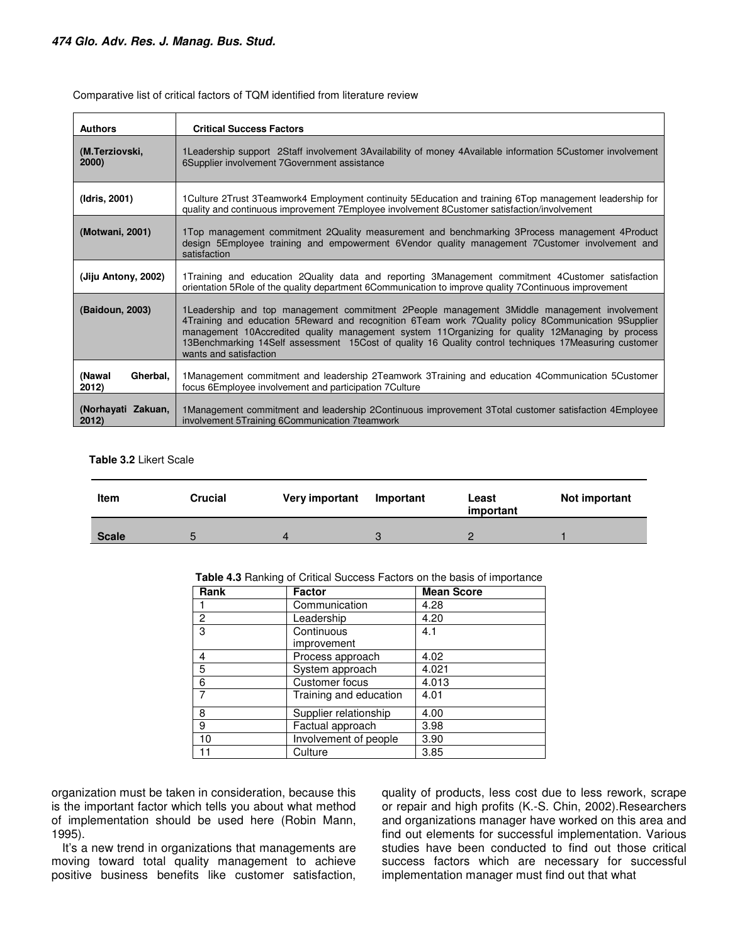| <b>Authors</b>              | <b>Critical Success Factors</b>                                                                                                                                                                                                                                                                                                                                                                                                              |
|-----------------------------|----------------------------------------------------------------------------------------------------------------------------------------------------------------------------------------------------------------------------------------------------------------------------------------------------------------------------------------------------------------------------------------------------------------------------------------------|
| (M.Terziovski,<br>2000      | 1 Leadership support 2 Staff involvement 3 Availability of money 4 Available information 5 Customer involvement<br>6Supplier involvement 7Government assistance                                                                                                                                                                                                                                                                              |
| (Idris, 2001)               | 1 Culture 2 Trust 3 Teamwork4 Employment continuity 5 Education and training 6 Top management leadership for<br>quality and continuous improvement 7Employee involvement 8Customer satisfaction/involvement                                                                                                                                                                                                                                  |
| (Motwani, 2001)             | 1Top management commitment 2Quality measurement and benchmarking 3Process management 4Product<br>design 5Employee training and empowerment 6Vendor quality management 7Customer involvement and<br>satisfaction                                                                                                                                                                                                                              |
| (Jiju Antony, 2002)         | 1Training and education 2Quality data and reporting 3Management commitment 4Customer satisfaction<br>orientation 5 Role of the quality department 6 Communication to improve quality 7 Continuous improvement                                                                                                                                                                                                                                |
| (Baidoun, 2003)             | 1 Leadership and top management commitment 2 People management 3 Middle management involvement<br>4Training and education 5Reward and recognition 6Team work 7Quality policy 8Communication 9Supplier<br>management 10Accredited quality management system 11Organizing for quality 12Managing by process<br>13Benchmarking 14Self assessment 15Cost of quality 16 Quality control techniques 17Measuring customer<br>wants and satisfaction |
| (Nawal<br>Gherbal,<br>2012) | 1 Management commitment and leadership 2 Teamwork 3 Training and education 4 Communication 5 Customer<br>focus 6Employee involvement and participation 7 Culture                                                                                                                                                                                                                                                                             |
| (Norhayati Zakuan,<br>2012) | 1Management commitment and leadership 2Continuous improvement 3Total customer satisfaction 4Employee<br>involvement 5Training 6Communication 7teamwork                                                                                                                                                                                                                                                                                       |

Comparative list of critical factors of TQM identified from literature review

#### **Table 3.2** Likert Scale

| <b>Item</b>  | Crucial | <b>Very important</b> | Important | Least<br>important | Not important |
|--------------|---------|-----------------------|-----------|--------------------|---------------|
| <b>Scale</b> | ∽       |                       |           |                    |               |

**Table 4.3** Ranking of Critical Success Factors on the basis of importance

| Rank<br><b>Factor</b> |                        | <b>Mean Score</b> |  |  |
|-----------------------|------------------------|-------------------|--|--|
|                       | Communication          | 4.28              |  |  |
| 2                     | Leadership             | 4.20              |  |  |
| 3                     | Continuous             | 4.1               |  |  |
|                       | improvement            |                   |  |  |
| 4                     | Process approach       | 4.02              |  |  |
| 5                     | System approach        | 4.021             |  |  |
| 6                     | Customer focus         | 4.013             |  |  |
|                       | Training and education | 4.01              |  |  |
| 8                     | Supplier relationship  | 4.00              |  |  |
| 9                     | Factual approach       | 3.98              |  |  |
| 10                    | Involvement of people  | 3.90              |  |  |
| 11                    | Culture                | 3.85              |  |  |

organization must be taken in consideration, because this is the important factor which tells you about what method of implementation should be used here (Robin Mann, 1995).

It's a new trend in organizations that managements are moving toward total quality management to achieve positive business benefits like customer satisfaction,

quality of products, less cost due to less rework, scrape or repair and high profits (K.-S. Chin, 2002).Researchers and organizations manager have worked on this area and find out elements for successful implementation. Various studies have been conducted to find out those critical success factors which are necessary for successful implementation manager must find out that what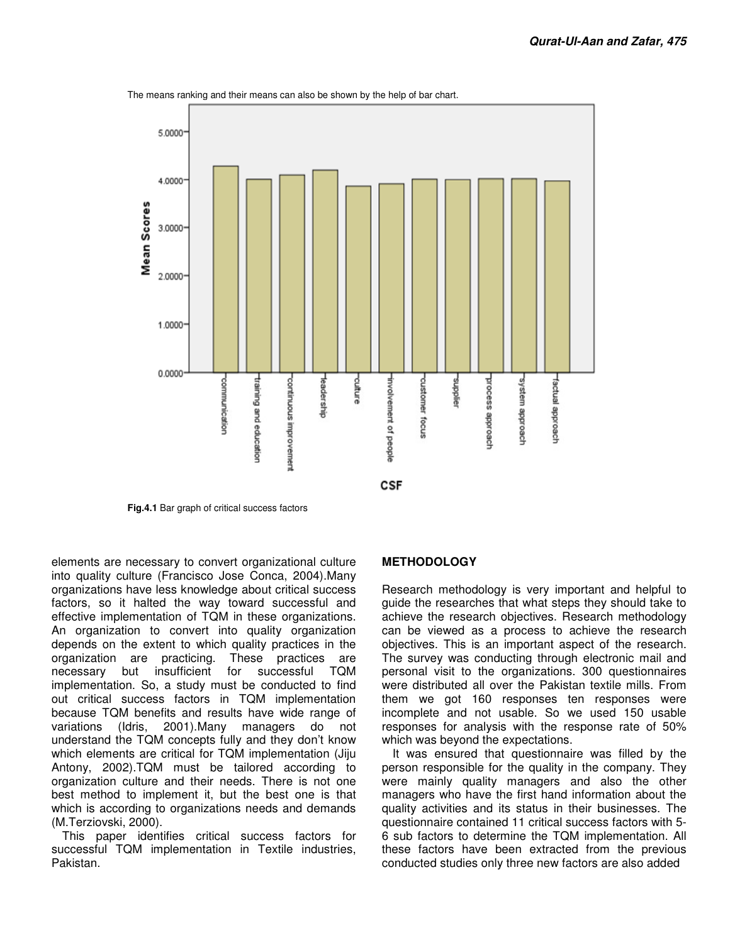

The means ranking and their means can also be shown by the help of bar chart.

**Fig.4.1** Bar graph of critical success factors

elements are necessary to convert organizational culture into quality culture (Francisco Jose Conca, 2004).Many organizations have less knowledge about critical success factors, so it halted the way toward successful and effective implementation of TQM in these organizations. An organization to convert into quality organization depends on the extent to which quality practices in the organization are practicing. These practices are necessary but insufficient for successful TQM implementation. So, a study must be conducted to find out critical success factors in TQM implementation because TQM benefits and results have wide range of variations (Idris, 2001).Many managers do not understand the TQM concepts fully and they don't know which elements are critical for TQM implementation (Jiju Antony, 2002).TQM must be tailored according to organization culture and their needs. There is not one best method to implement it, but the best one is that which is according to organizations needs and demands (M.Terziovski, 2000).

This paper identifies critical success factors for successful TQM implementation in Textile industries, Pakistan.

#### **METHODOLOGY**

Research methodology is very important and helpful to guide the researches that what steps they should take to achieve the research objectives. Research methodology can be viewed as a process to achieve the research objectives. This is an important aspect of the research. The survey was conducting through electronic mail and personal visit to the organizations. 300 questionnaires were distributed all over the Pakistan textile mills. From them we got 160 responses ten responses were incomplete and not usable. So we used 150 usable responses for analysis with the response rate of 50% which was beyond the expectations.

It was ensured that questionnaire was filled by the person responsible for the quality in the company. They were mainly quality managers and also the other managers who have the first hand information about the quality activities and its status in their businesses. The questionnaire contained 11 critical success factors with 5- 6 sub factors to determine the TQM implementation. All these factors have been extracted from the previous conducted studies only three new factors are also added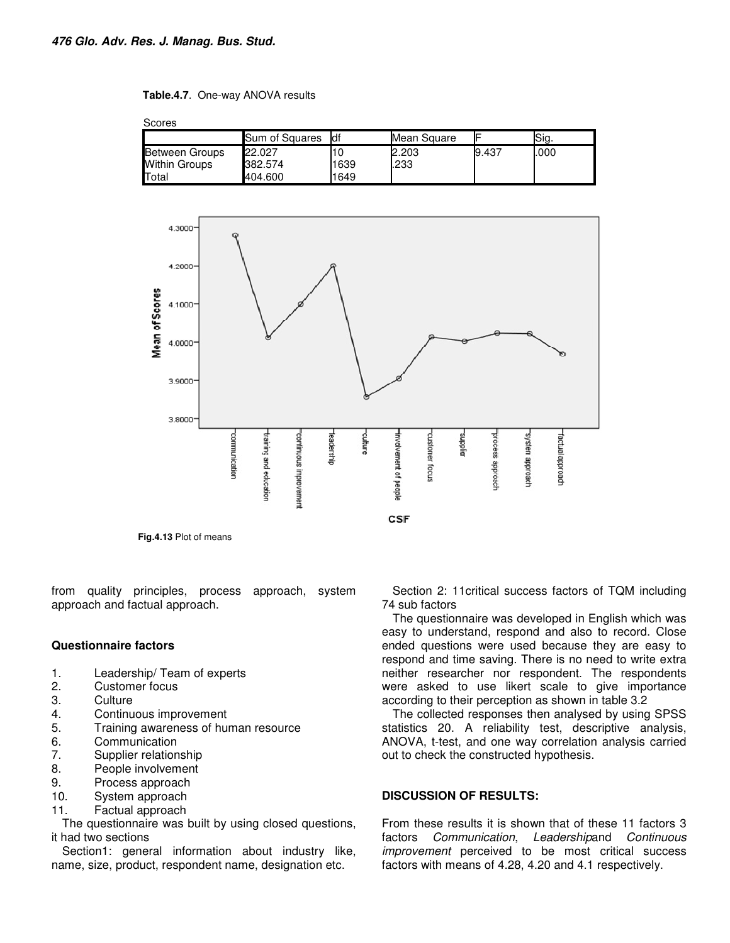#### **Table.4.7**. One-way ANOVA results

**Conrect** 

| <b>OLUIES</b>         |                |      |             |       |      |  |
|-----------------------|----------------|------|-------------|-------|------|--|
|                       | Sum of Squares | ldf  | Mean Square |       | Sia. |  |
| <b>Between Groups</b> | 22.027         |      | 2.203       | 9.437 | .000 |  |
| <b>Within Groups</b>  | 382.574        | 1639 | .233        |       |      |  |
| Total                 | 404.600        | 1649 |             |       |      |  |



from quality principles, process approach, system approach and factual approach.

# **Questionnaire factors**

- 1. Leadership/ Team of experts<br>2. Customer focus
- Customer focus
- 3. Culture
- 4. Continuous improvement
- 5. Training awareness of human resource
- 6. Communication<br>7. Supplier relation
- Supplier relationship
- 8. People involvement
- 9. Process approach
- 10. System approach
- 11. Factual approach

The questionnaire was built by using closed questions, it had two sections

Section1: general information about industry like, name, size, product, respondent name, designation etc.

Section 2: 11critical success factors of TQM including 74 sub factors

The questionnaire was developed in English which was easy to understand, respond and also to record. Close ended questions were used because they are easy to respond and time saving. There is no need to write extra neither researcher nor respondent. The respondents were asked to use likert scale to give importance according to their perception as shown in table 3.2

The collected responses then analysed by using SPSS statistics 20. A reliability test, descriptive analysis, ANOVA, t-test, and one way correlation analysis carried out to check the constructed hypothesis.

# **DISCUSSION OF RESULTS:**

From these results it is shown that of these 11 factors 3 factors *Communication*, *Leadership*and *Continuous improvement* perceived to be most critical success factors with means of 4.28, 4.20 and 4.1 respectively.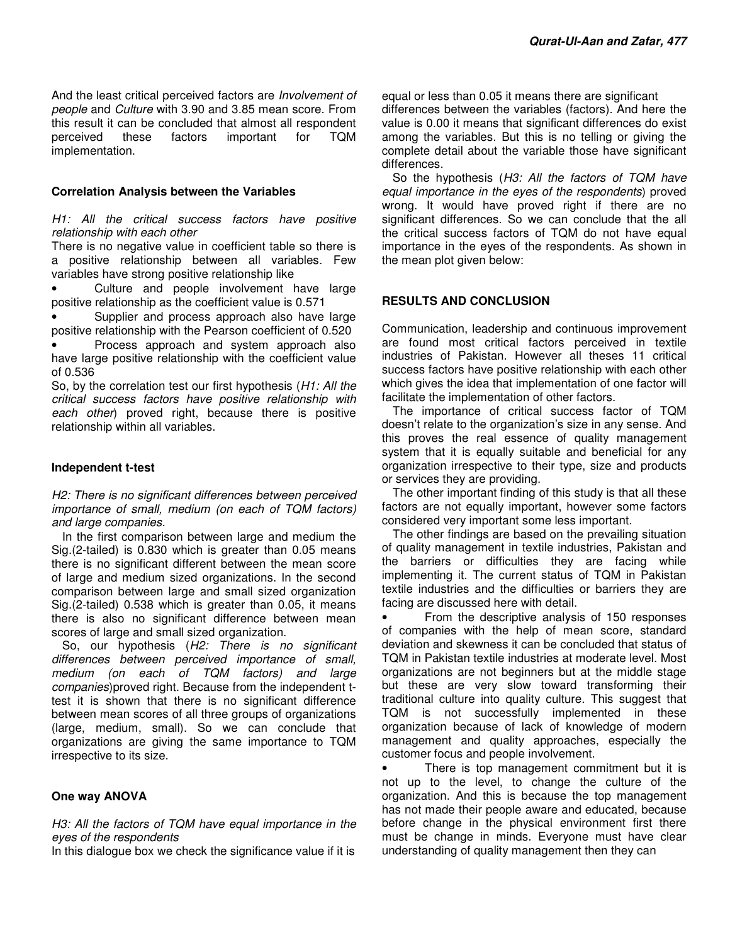And the least critical perceived factors are *Involvement of people* and *Culture* with 3.90 and 3.85 mean score. From this result it can be concluded that almost all respondent perceived these factors important for TQM implementation.

#### **Correlation Analysis between the Variables**

*H1: All the critical success factors have positive relationship with each other* 

There is no negative value in coefficient table so there is a positive relationship between all variables. Few variables have strong positive relationship like

Culture and people involvement have large positive relationship as the coefficient value is 0.571

• Supplier and process approach also have large positive relationship with the Pearson coefficient of 0.520

• Process approach and system approach also have large positive relationship with the coefficient value of 0.536

So, by the correlation test our first hypothesis (*H1: All the critical success factors have positive relationship with each other*) proved right, because there is positive relationship within all variables.

#### **Independent t-test**

*H2: There is no significant differences between perceived importance of small, medium (on each of TQM factors) and large companies.* 

In the first comparison between large and medium the Sig.(2-tailed) is 0.830 which is greater than 0.05 means there is no significant different between the mean score of large and medium sized organizations. In the second comparison between large and small sized organization Sig.(2-tailed) 0.538 which is greater than 0.05, it means there is also no significant difference between mean scores of large and small sized organization.

So, our hypothesis (*H2: There is no significant differences between perceived importance of small, medium (on each of TQM factors) and large companies*)proved right. Because from the independent ttest it is shown that there is no significant difference between mean scores of all three groups of organizations (large, medium, small). So we can conclude that organizations are giving the same importance to TQM irrespective to its size.

# **One way ANOVA**

*H3: All the factors of TQM have equal importance in the eyes of the respondents* 

In this dialogue box we check the significance value if it is

equal or less than 0.05 it means there are significant differences between the variables (factors). And here the value is 0.00 it means that significant differences do exist among the variables. But this is no telling or giving the complete detail about the variable those have significant differences.

So the hypothesis (*H3: All the factors of TQM have equal importance in the eyes of the respondents*) proved wrong. It would have proved right if there are no significant differences. So we can conclude that the all the critical success factors of TQM do not have equal importance in the eyes of the respondents. As shown in the mean plot given below:

# **RESULTS AND CONCLUSION**

Communication, leadership and continuous improvement are found most critical factors perceived in textile industries of Pakistan. However all theses 11 critical success factors have positive relationship with each other which gives the idea that implementation of one factor will facilitate the implementation of other factors.

The importance of critical success factor of TQM doesn't relate to the organization's size in any sense. And this proves the real essence of quality management system that it is equally suitable and beneficial for any organization irrespective to their type, size and products or services they are providing.

The other important finding of this study is that all these factors are not equally important, however some factors considered very important some less important.

The other findings are based on the prevailing situation of quality management in textile industries, Pakistan and the barriers or difficulties they are facing while implementing it. The current status of TQM in Pakistan textile industries and the difficulties or barriers they are facing are discussed here with detail.

• From the descriptive analysis of 150 responses of companies with the help of mean score, standard deviation and skewness it can be concluded that status of TQM in Pakistan textile industries at moderate level. Most organizations are not beginners but at the middle stage but these are very slow toward transforming their traditional culture into quality culture. This suggest that TQM is not successfully implemented in these organization because of lack of knowledge of modern management and quality approaches, especially the customer focus and people involvement.

There is top management commitment but it is not up to the level, to change the culture of the organization. And this is because the top management has not made their people aware and educated, because before change in the physical environment first there must be change in minds. Everyone must have clear understanding of quality management then they can